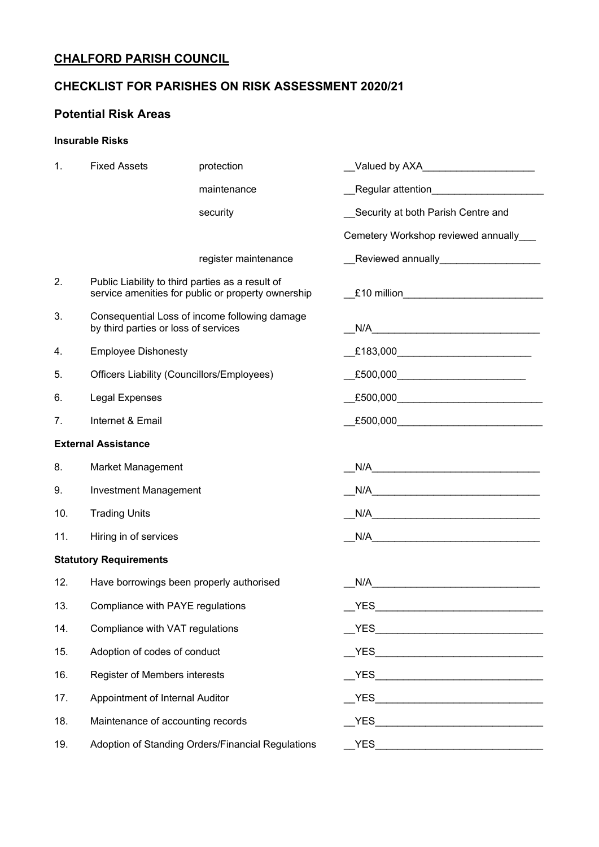# **CHALFORD PARISH COUNCIL**

## **CHECKLIST FOR PARISHES ON RISK ASSESSMENT 2020/21**

### **Potential Risk Areas**

### **Insurable Risks**

| 1.                            | <b>Fixed Assets</b>                                                                                    | protection           | __Valued by AXA_____________________      |  |
|-------------------------------|--------------------------------------------------------------------------------------------------------|----------------------|-------------------------------------------|--|
|                               |                                                                                                        | maintenance          | Regular attention________________________ |  |
|                               |                                                                                                        | security             | Security at both Parish Centre and        |  |
|                               |                                                                                                        |                      | Cemetery Workshop reviewed annually___    |  |
|                               |                                                                                                        | register maintenance | __Reviewed annually___________________    |  |
| 2.                            | Public Liability to third parties as a result of<br>service amenities for public or property ownership |                      | $£10$ million                             |  |
| 3.                            | Consequential Loss of income following damage<br>by third parties or loss of services                  |                      |                                           |  |
| 4.                            | <b>Employee Dishonesty</b>                                                                             |                      |                                           |  |
| 5.                            | Officers Liability (Councillors/Employees)                                                             |                      |                                           |  |
| 6.                            | <b>Legal Expenses</b>                                                                                  |                      |                                           |  |
| 7.                            | Internet & Email                                                                                       |                      |                                           |  |
| <b>External Assistance</b>    |                                                                                                        |                      |                                           |  |
| 8.                            | <b>Market Management</b>                                                                               |                      |                                           |  |
| 9.                            | <b>Investment Management</b>                                                                           |                      |                                           |  |
| 10.                           | <b>Trading Units</b>                                                                                   |                      | N/A                                       |  |
| 11.                           | Hiring in of services                                                                                  |                      |                                           |  |
| <b>Statutory Requirements</b> |                                                                                                        |                      |                                           |  |
| 12.                           | Have borrowings been properly authorised                                                               |                      | N/A                                       |  |
| 13.                           | Compliance with PAYE regulations                                                                       |                      | <b>YES</b>                                |  |
| 14.                           | Compliance with VAT regulations                                                                        |                      |                                           |  |
| 15.                           | Adoption of codes of conduct                                                                           |                      |                                           |  |
| 16.                           | Register of Members interests                                                                          |                      |                                           |  |
| 17.                           | Appointment of Internal Auditor                                                                        |                      |                                           |  |
| 18.                           | Maintenance of accounting records                                                                      |                      |                                           |  |
| 19.                           | Adoption of Standing Orders/Financial Regulations                                                      |                      |                                           |  |